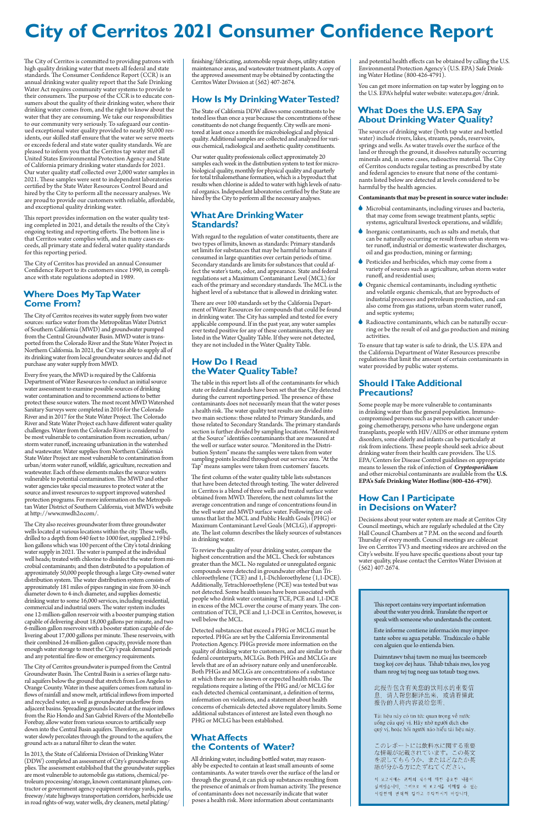This report contains very important information

about the water you drink. Translate the report or speak with someone who understands the content.

Este informe contiene información muy importante sobre su agua potable. Tradúzcalo o hable con alguien que lo entienda bien.

Daimntawv tshaj tawm no muaj lus tseemceeb txog koj cov dej haus. Tshab txhais nws, los yog tham nrog tej tug neeg uas totaub txog nws.

此报告包含有关您的饮用水的重要信 息。请人帮您翻译出来, 或请看懂此 报告的人将内容说给您听。

Tài liệu này có tin tức quan trọng về nước uống của quý vị. Hãy nhờ người dịch cho quý vị, hoặc hỏi người nào hiểu tài liệu này.

このレポートには飲料水に関する重要 な情報が記載されています。この英文 

이 보고서에는 귀하의 식수에 대한 중요한 내용이 실려있습니다. 그러므로 이 보고서를 이해할 수 있는 사람한테 번역해 달라고 부탁하시기 바랍니다.

The City of Cerritos is committed to providing patrons with high quality drinking water that meets all federal and state standards. The Consumer Confidence Report (CCR) is an annual drinking water quality report that the Safe Drinking Water Act requires community water systems to provide to their consumers. The purpose of the CCR is to educate consumers about the quality of their drinking water, where their drinking water comes from, and the right to know about the water that they are consuming. We take our responsibilities to our community very seriously. To safeguard our continued exceptional water quality provided to nearly 50,000 residents, our skilled staff ensure that the water we serve meets or exceeds federal and state water quality standards. We are pleased to inform you that the Cerritos tap water met all United States Environmental Protection Agency and State of California primary drinking water standards for 2021. Our water quality staff collected over 2,000 water samples in 2021. These samples were sent to independent laboratories certified by the State Water Resources Control Board and hired by the City to perform all the necessary analyses. We are proud to provide our customers with reliable, affordable, and exceptional quality drinking water.

This report provides information on the water quality testing completed in 2021, and details the results of the City's ongoing testing and reporting efforts. The bottom line is that Cerritos water complies with, and in many cases exceeds, all primary state and federal water quality standards for this reporting period.

The City of Cerritos has provided an annual Consumer Confidence Report to its customers since 1990, in compliance with state regulations adopted in 1989.

### **Where Does My Tap Water Come From?**

The City of Cerritos receives its water supply from two water sources: surface water from the Metropolitan Water District of Southern California (MWD) and groundwater pumped from the Central Groundwater Basin. MWD water is transported from the Colorado River and the State Water Project in Northern California. In 2021, the City was able to supply all of its drinking water from local groundwater sources and did not purchase any water supply from MWD.

Every five years, the MWD is required by the California Department of Water Resources to conduct an initial source water assessment to examine possible sources of drinking water contamination and to recommend actions to better protect these source waters. The most recent MWD Watershed Sanitary Surveys were completed in 2016 for the Colorado River and in 2017 for the State Water Project. The Colorado River and State Water Project each have different water quality challenges. Water from the Colorado River is considered to be most vulnerable to contamination from recreation, urban/ storm water runoff, increasing urbanization in the watershed and wastewater. Water supplies from Northern California's State Water Project are most vulnerable to contamination from urban/storm water runoff, wildlife, agriculture, recreation and wastewater. Each of these elements makes the source waters vulnerable to potential contamination. The MWD and other water agencies take special measures to protect water at the source and invest resources to support improved watershed protection programs. For more information on the Metropolitan Water District of Southern California, visit MWD's website at http://www.mwdh2o.com/.

The City also receives groundwater from three groundwater wells located at various locations within the city. These wells, drilled to a depth from 640 feet to 1000 feet, supplied 2.19 billion gallons which was 100 percent of the City's total drinking water supply in 2021. The water is pumped at the individual well heads; treated with chlorine to disinfect the water from microbial contaminants; and then distributed to a population of approximately 50,000 people through a large City-owned water distribution system. The water distribution system consists of approximately 181 miles of pipes ranging in size from 30-inch diameter down to 4-inch diameter, and supplies domestic drinking water to some 16,000 services, including residential, commercial and industrial users. The water system includes one 12-million-gallon reservoir with a booster pumping station capable of delivering about 18,000 gallons per minute, and two 6-million gallon reservoirs with a booster station capable of delivering about 17,000 gallons per minute. These reservoirs, with their combined 24-million-gallon capacity, provide more than enough water storage to meet the City's peak demand periods and any potential fire-flow or emergency requirements.

The City of Cerritos groundwater is pumped from the Central Groundwater Basin. The Central Basin is a series of large natural aquifers below the ground that stretch from Los Angeles to Orange County. Water in these aquifers comes from natural inflows of rainfall and snow melt, artificial inflows from imported and recycled water, as well as groundwater underflow from adjacent basins. Spreading grounds located at the major inflows from the Rio Hondo and San Gabriel Rivers of the Montebello Forebay, allow water from various sources to artificially seep down into the Central Basin aquifers. Therefore, as surface water slowly percolates through the ground to the aquifers, the ground acts as a natural filter to clean the water.

In 2013, the State of California Division of Drinking Water (DDW) completed an assessment of City's groundwater supplies. The assessment established that the groundwater supplies are most vulnerable to automobile gas stations, chemical/petroleum processing/storage, known contaminant plumes, contractor or government agency equipment storage yards, parks, freeway/state highways transportation corridors, herbicide use in road rights-of-way, water wells, dry cleaners, metal plating/

finishing/fabricating, automobile repair shops, utility station maintenance areas, and wastewater treatment plants. A copy of the approved assessment may be obtained by contacting the Cerritos Water Division at (562) 407-2674.

### **How Is My Drinking Water Tested?**

The State of California DDW allows some constituents to be tested less than once a year because the concentrations of these constituents do not change frequently. City wells are monitored at least once a month for microbiological and physical quality. Additional samples are collected and analyzed for various chemical, radiological and aesthetic quality constituents.

Our water quality professionals collect approximately 20 samples each week in the distribution system to test for microbiological quality, monthly for physical quality and quarterly for total trihalomethane formation, which is a byproduct that results when chlorine is added to water with high levels of natural organics. Independent laboratories certified by the State are hired by the City to perform all the necessary analyses.

> Decisions about your water system are made at Cerritos City Council meetings, which are regularly scheduled at the City Hall Council Chambers at 7 P.M. on the second and fourth Thursday of every month. Council meetings are cablecast live on Cerritos TV3 and meeting videos are archived on the City's website. If you have specific questions about your tap water quality, please contact the Cerritos Water Division at  $(562)$  407-2674.

#### **What Are Drinking Water Standards?**

With regard to the regulation of water constituents, there are two types of limits, known as standards: Primary standards set limits for substances that may be harmful to humans if consumed in large quantities over certain periods of time. Secondary standards are limits for substances that could affect the water's taste, odor, and appearance. State and federal regulations set a Maximum Contaminant Level (MCL) for each of the primary and secondary standards. The MCL is the highest level of a substance that is allowed in drinking water.

There are over 100 standards set by the California Department of Water Resources for compounds that could be found in drinking water. The City has sampled and tested for every applicable compound. If in the past year, any water samples ever tested positive for any of these contaminants, they are listed in the Water Quality Table. If they were not detected, they are not included in the Water Quality Table.

#### **How Do I Read the Water Quality Table?**

The table in this report lists all of the contaminants for which state or federal standards have been set that the City detected during the current reporting period. The presence of these contaminants does not necessarily mean that the water poses a health risk. The water quality test results are divided into two main sections: those related to Primary Standards, and those related to Secondary Standards. The primary standards section is further divided by sampling locations. "Monitored at the Source" identifies contaminants that are measured at the well or surface water source. "Monitored in the Distribution System" means the samples were taken from water sampling points located throughout our service area. "At the Tap" means samples were taken from customers' faucets.

The first column of the water quality table lists substances that have been detected through testing. The water delivered in Cerritos is a blend of three wells and treated surface water obtained from MWD. Therefore, the next columns list the average concentration and range of concentrations found in the well water and MWD surface water. Following are columns that list the MCL and Public Health Goals (PHG) or Maximum Contaminant Level Goals (MCLG), if appropriate. The last column describes the likely sources of substances in drinking water.

To review the quality of your drinking water, compare the highest concentration and the MCL. Check for substances greater than the MCL. No regulated or unregulated organic compounds were detected in groundwater other than Trichloroethylene (TCE) and 1,1-Dichloroethylene (1,1-DCE). Additionally, Tetrachloroethylene (PCE) was tested but was not detected. Some health issues have been associated with people who drink water containing TCE, PCE and 1,1-DCE in excess of the MCL over the course of many years. The concentration of TCE, PCE and 1,1-DCE in Cerritos, however, is well below the MCL.

Detected substances that exceed a PHG or MCLG must be reported. PHGs are set by the California Environmental Protection Agency. PHGs provide more information on the quality of drinking water to customers, and are similar to their federal counterparts, MCLGs. Both PHGs and MCLGs are levels that are of an advisory nature only and unenforceable. Both PHGs and MCLGs are concentrations of a substance at which there are no known or expected health risks. The regulations require a listing of the PHG and/or MCLG for each detected chemical contaminant, a definition of terms, information on violations, and a statement about health concerns of chemicals detected above regulatory limits. Some additional substances of interest are listed even though no PHG or MCLG has been established.

#### **What Affects the Contents of Water?**

All drinking water, including bottled water, may reasonably be expected to contain at least small amounts of some contaminants. As water travels over the surface of the land or through the ground, it can pick up substances resulting from the presence of animals or from human activity. The presence of contaminants does not necessarily indicate that water poses a health risk. More information about contaminants

and potential health effects can be obtained by calling the U.S. Environmental Protection Agency's (U.S. EPA) Safe Drinking Water Hotline (800-426-4791).

You can get more information on tap water by logging on to the U.S. EPA's helpful water website: water.epa.gov/drink.

### **What Does the U.S. EPA Say About Drinking Water Quality?**

The sources of drinking water (both tap water and bottled water) include rivers, lakes, streams, ponds, reservoirs, springs and wells. As water travels over the surface of the land or through the ground, it dissolves naturally occurring minerals and, in some cases, radioactive material. The City of Cerritos conducts regular testing as prescribed by state and federal agencies to ensure that none of the contaminants listed below are detected at levels considered to be harmful by the health agencies.

#### **Contaminants that may be present in source water include:**

- 6 Microbial contaminants, including viruses and bacteria, that may come from sewage treatment plants, septic systems, agricultural livestock operations, and wildlife;
- 6 Inorganic contaminants, such as salts and metals, that can be naturally occurring or result from urban storm water runoff, industrial or domestic wastewater discharges, oil and gas production, mining or farming;
- 6 Pesticides and herbicides, which may come from a variety of sources such as agriculture, urban storm water runoff, and residential uses;
- 6 Organic chemical contaminants, including synthetic and volatile organic chemicals, that are byproducts of industrial processes and petroleum production, and can also come from gas stations, urban storm water runoff, and septic systems;
- 6 Radioactive contaminants, which can be naturally occurring or be the result of oil and gas production and mining activities.

To ensure that tap water is safe to drink, the U.S. EPA and the California Department of Water Resources prescribe regulations that limit the amount of certain contaminants in water provided by public water systems.

#### **Should I Take Additional Precautions?**

Some people may be more vulnerable to contaminants in drinking water than the general population. Immunocompromised persons such as persons with cancer undergoing chemotherapy, persons who have undergone organ transplants, people with HIV/AIDS or other immune system disorders, some elderly and infants can be particularly at risk from infections. These people should seek advice about drinking water from their health care providers. The U.S. EPA/Centers for Disease Control guidelines on appropriate means to lessen the risk of infection of *Cryptosporidium* and other microbial contaminants are available from the **U.S. EPA's Safe Drinking Water Hotline (800-426-4791)**.

#### **How Can I Participate in Decisions on Water?**

# **City of Cerritos 2021 Consumer Confidence Report**